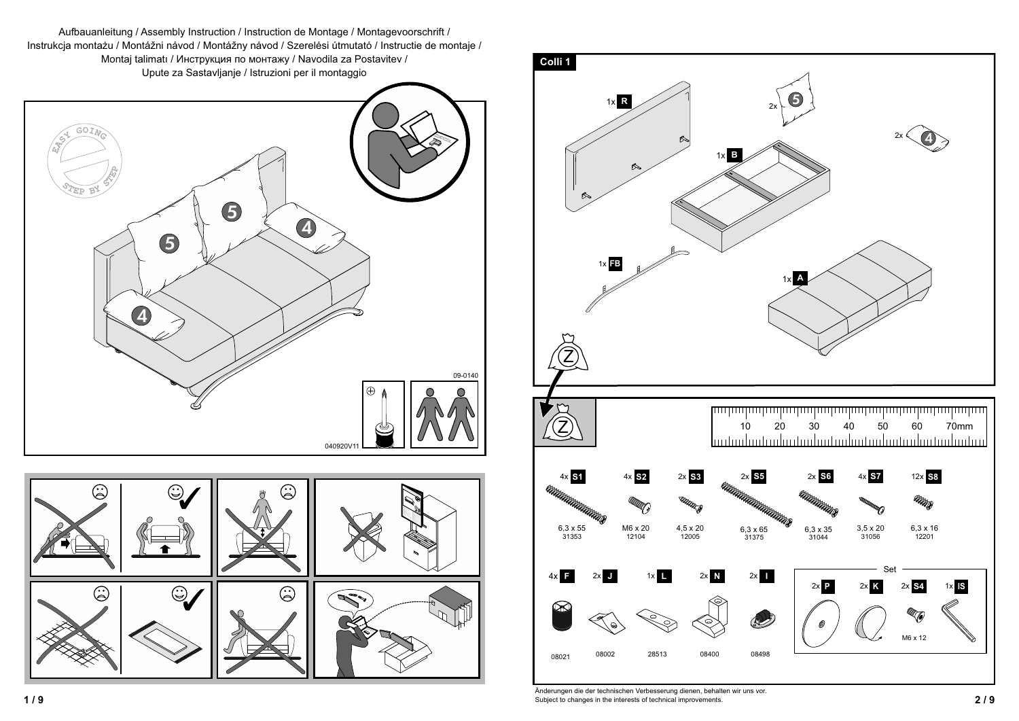



 **2 / 9** Subject to changes in the interests of technical improvements.Änderungen die der technischen Verbesserung dienen, behalten wir uns vor.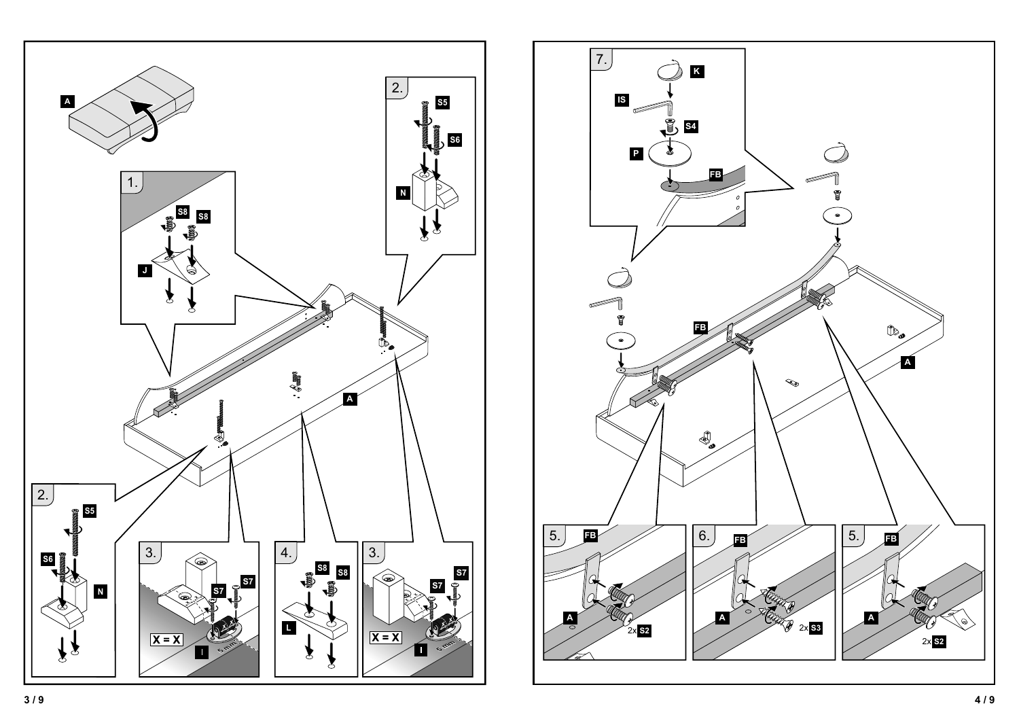

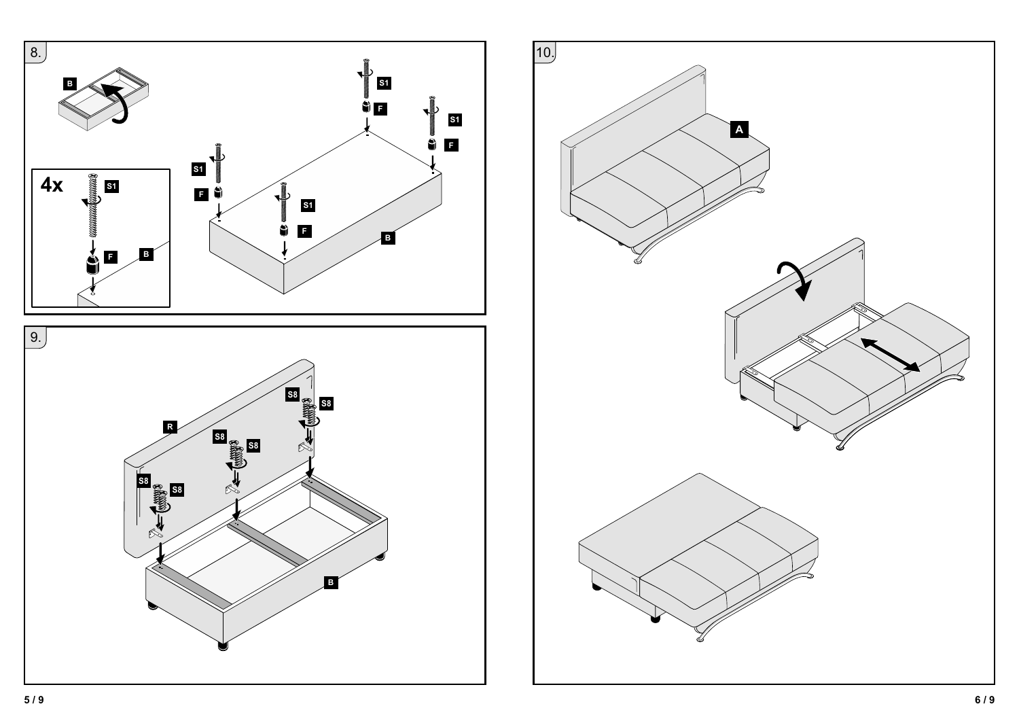

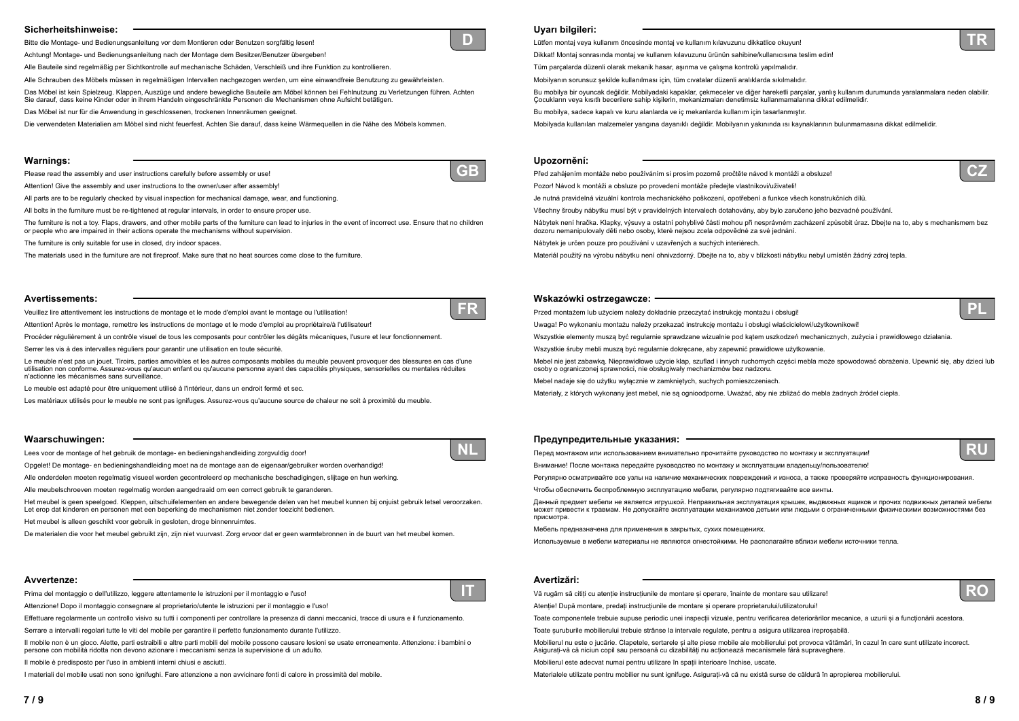# **Uyarı bilgileri:**

**Upozornění:**

Lütfen montaj veya kullanım öncesinde montaj ve kullanım kılavuzunu dikkatlice okuyun! Dikkat! Montaj sonrasında montaj ve kullanım kılavuzunu ürünün sahibine/kullanıcısına teslim edin! Tüm parçalarda düzenli olarak mekanik hasar, aşınma ve çalışma kontrolü yapılmalıdır. Mobilyanın sorunsuz şekilde kullanılması için, tüm cıvatalar düzenli aralıklarda sıkılmalıdır. Bu mobilya bir oyuncak değildir. Mobilyadaki kapaklar, çekmeceler ve diğer hareketli parçalar, yanlış kullanım durumunda yaralanmalara neden olabilir. Cocukların veya kısıtlı becerilere sahip kisilerin, mekanizmaları denetimsiz kullanmamalarına dikkat edilmelidir. Bu mobilya, sadece kapalı ve kuru alanlarda ve iç mekanlarda kullanım için tasarlanmıştır. Mobilyada kullanılan malzemeler yangına dayanıklı değildir. Mobilyanın yakınında ısı kaynaklarının bulunmamasına dikkat edilmelidir.

Před zahájením montáže nebo používáním si prosím pozorně pročtěte návod k montáži a obsluze! Pozor! Návod k montáži a obsluze po provedení montáže předejte vlastníkovi/uživateli! Je nutná pravidelná vizuální kontrola mechanického poškození, opotřebení a funkce všech konstrukčních dílů. Všechny šrouby nábytku musí být v pravidelných intervalech dotahovány, aby bylo zaručeno jeho bezvadné používání. Nábytek není hračka. Klapky, výsuvy a ostatní pohyblivé části mohou při nesprávném zacházení způsobit úraz. Dbejte na to, aby s mechanismem bez dozoru nemanipulovaly děti nebo osoby, které nejsou zcela odpovědné za své jednání. Nábytek je určen pouze pro používání v uzavřených a suchých interiérech.

**Wskazówki ostrzegawcze:**

Przed montażem lub użyciem należy dokładnie przeczytać instrukcję montażu i obsługi! Uwaga! Po wykonaniu montażu należy przekazać instrukcję montażu i obsługi właścicielowi/użytkownikowi! Wszystkie elementy muszą być regularnie sprawdzane wizualnie pod kątem uszkodzeń mechanicznych, zużycia i prawidłowego działania. Wszystkie śruby mebli muszą być regularnie dokręcane, aby zapewnić prawidłowe użytkowanie. Mebel nie jest zabawką. Nieprawidłowe użycie klap, szuflad i innych ruchomych części mebla może spowodować obrażenia. Upewnić się, aby dzieci lub osoby o ograniczonej sprawności, nie obsługiwały mechanizmów bez nadzoru. Mebel nadaje się do użytku wyłącznie w zamkniętych, suchych pomieszczeniach. Materiały, z których wykonany jest mebel, nie są ognioodporne. Uważać, aby nie zbliżać do mebla żadnych źródeł ciepła.

- 
- 
- 
- 
- 
- 
- 
- 
- 
- 
- 
- Materiál použitý na výrobu nábytku není ohnivzdorný. Dbejte na to, aby v blízkosti nábytku nebyl umístěn žádný zdroj tepla.
	-
	-
	-
	-
	-
	-
	-
	-
	-
	-
- Чтобы обеспечить беспроблемную эксплуатацию мебели, регулярно подтягивайте все винты.
- может привести <sup>к</sup> травмам. Не допускайте эксплуатации механизмов детьми или людьми <sup>с</sup> ограниченными физическими возможностями без
	-
	-
	-
	-
	-
	-
	-
	-







### **Предупредительные указания:**

Перед монтажом или использованием внимательно прочитайте руководство по монтажу <sup>и</sup> эксплуатации! Внимание! После монтажа передайте руководство по монтажу <sup>и</sup> эксплуатации владельцу/пользователю! Регулярно осматривайте все узлы на наличие механических повреждений <sup>и</sup> износа, <sup>а</sup> также проверяйте исправность функционирования.

Данный предмет мебели не является игрушкой. Неправильная эксплуатация крышек, выдвижных ящиков <sup>и</sup> прочих подвижных деталей мебели

присмотра.

Vă rugăm să citiți cu atenție instrucțiunile de montare și operare, înainte de montare sau utilizare! Atentie! După montare, predati instructiunile de montare și operare proprietarului/utilizatorului! Toate componentele trebuie supuse periodic unei inspectii vizuale, pentru verificarea deteriorărilor mecanice, a uzurii și a functionării acestora. Toate șuruburile mobilierului trebuie strânse la intervale regulate, pentru a asigura utilizarea ireproșabilă. Mobilierul nu este o jucărie. Clapetele, sertarele și alte piese mobile ale mobilierului pot provoca vătămări, în cazul în care sunt utilizate incorect. Asigurați-vă că niciun copil sau persoană cu dizabilități nu acționează mecanismele fără supraveghere. Mobilierul este adecvat numai pentru utilizare în spatii interioare închise, uscate. Materialele utilizate pentru mobilier nu sunt ignifuge. Asigurați-vă că nu există surse de căldură în apropierea mobilierului.

Мебель предназначена для применения <sup>в</sup> закрытых, сухих помещениях.

Используемые <sup>в</sup> мебели материалы не являются огнестойкими. Не располагайте вблизи мебели источники тепла.

## **Avertizări:**





# **Sicherheitshinweise:**

Bitte die Montage- und Bedienungsanleitung vor dem Montieren oder Benutzen sorgfältig lesen!

Achtung! Montage- und Bedienungsanleitung nach der Montage dem Besitzer/Benutzer übergeben!

Alle Bauteile sind regelmäßig per Sichtkontrolle auf mechanische Schäden, Verschleiß und ihre Funktion zu kontrollieren.

Alle Schrauben des Möbels müssen in regelmäßigen Intervallen nachgezogen werden, um eine einwandfreie Benutzung zu gewährleisten.

Das Möbel ist kein Spielzeug. Klappen, Auszüge und andere bewegliche Bauteile am Möbel können bei Fehlnutzung zu Verletzungen führen. Achten Sie darauf, dass keine Kinder oder in ihrem Handeln eingeschränkte Personen die Mechanismen ohne Aufsicht betätigen.

Das Möbel ist nur für die Anwendung in geschlossenen, trockenen Innenräumen geeignet.

Die verwendeten Materialien am Möbel sind nicht feuerfest. Achten Sie darauf, dass keine Wärmequellen in die Nähe des Möbels kommen.

# **Avvertenze:**

Prima del montaggio o dell'utilizzo, leggere attentamente le istruzioni per il montaggio e l'uso!

Attenzione! Dopo il montaggio consegnare al proprietario/utente le istruzioni per il montaggio e l'uso!

Effettuare regolarmente un controllo visivo su tutti i componenti per controllare la presenza di danni meccanici, tracce di usura e il funzionamento.

Serrare a intervalli regolari tutte le viti del mobile per garantire il perfetto funzionamento durante l'utilizzo.

Il mobile non è un gioco. Alette, parti estraibili e altre parti mobili del mobile possono causare lesioni se usate erroneamente. Attenzione: i bambini o persone con mobilità ridotta non devono azionare i meccanismi senza la supervisione di un adulto.

Il mobile è predisposto per l'uso in ambienti interni chiusi e asciutti.

I materiali del mobile usati non sono ignifughi. Fare attenzione a non avvicinare fonti di calore in prossimità del mobile.

### **Warnings:**

Please read the assembly and user instructions carefully before assembly or use!

Attention! Give the assembly and user instructions to the owner/user after assembly!

All parts are to be regularly checked by visual inspection for mechanical damage, wear, and functioning.

All bolts in the furniture must be re-tightened at regular intervals, in order to ensure proper use.

The furniture is not a toy. Flaps, drawers, and other mobile parts of the furniture can lead to injuries in the event of incorrect use. Ensure that no children or people who are impaired in their actions operate the mechanisms without supervision.

The furniture is only suitable for use in closed, dry indoor spaces.

The materials used in the furniture are not fireproof. Make sure that no heat sources come close to the furniture.

### **Avertissements:**

Veuillez lire attentivement les instructions de montage et le mode d'emploi avant le montage ou l'utilisation!

Attention! Après le montage, remettre les instructions de montage et le mode d'emploi au propriétaire/à l'utilisateur!

Procéder régulièrement à un contrôle visuel de tous les composants pour contrôler les dégâts mécaniques, l'usure et leur fonctionnement.

Serrer les vis à des intervalles réguliers pour garantir une utilisation en toute sécurité.

Le meuble n'est pas un jouet. Tiroirs, parties amovibles et les autres composants mobiles du meuble peuvent provoquer des blessures en cas d'une utilisation non conforme. Assurez-vous qu'aucun enfant ou qu'aucune personne ayant des capacités physiques, sensorielles ou mentales réduites n'actionne les mécanismes sans surveillance.

Le meuble est adapté pour être uniquement utilisé à l'intérieur, dans un endroit fermé et sec.

Les matériaux utilisés pour le meuble ne sont pas ignifuges. Assurez-vous qu'aucune source de chaleur ne soit à proximité du meuble.

# **Waarschuwingen:**

Lees voor de montage of het gebruik de montage- en bedieningshandleiding zorgvuldig door!

Opgelet! De montage- en bedieningshandleiding moet na de montage aan de eigenaar/gebruiker worden overhandigd!

Alle onderdelen moeten regelmatig visueel worden gecontroleerd op mechanische beschadigingen, slijtage en hun werking.

Alle meubelschroeven moeten regelmatig worden aangedraaid om een correct gebruik te garanderen.

Het meubel is geen speelgoed. Kleppen, uitschuifelementen en andere bewegende delen van het meubel kunnen bij onjuist gebruik letsel veroorzaken. Let erop dat kinderen en personen met een beperking de mechanismen niet zonder toezicht bedienen.

Het meubel is alleen geschikt voor gebruik in gesloten, droge binnenruimtes.

De materialen die voor het meubel gebruikt zijn, zijn niet vuurvast. Zorg ervoor dat er geen warmtebronnen in de buurt van het meubel komen.



**IT**

**GB**



**NL**